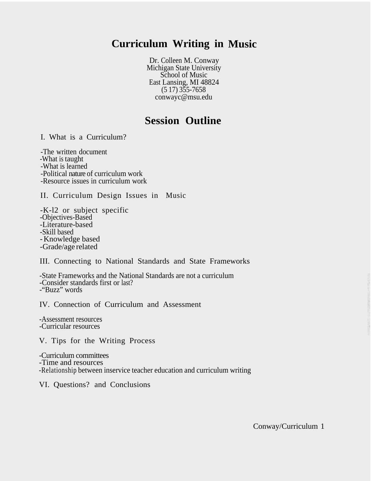## **Curriculum Writing in Music**

Dr. Colleen M. Conway Michigan State University School of Music East Lansing, MI 48824  $(517)$  355-7658 conwayc@msu.edu

## **Session Outline**

I. What is a Curriculum?

-The written document -What is taught -What is learned -Political nature of curriculum work -Resource issues in curriculum work

II. Curriculum Design Issues in Music

-K-l2 or subject specific -Objectives-Based -Literature-based -Skill based -Knowledge based -Grade/age related

III. Connecting to National Standards and State Frameworks

-State Frameworks and the National Standards are not a curriculum -Consider standards first or last? -"Buzz" words

IV. Connection of Curriculum and Assessment

-Assessment resources -Curricular resources

V. Tips for the Writing Process

-Curriculum committees ' -Time and resources -Relationship between inservice teacher education and curriculum writing

VI. Questions? and Conclusions

Conway/Curriculum 1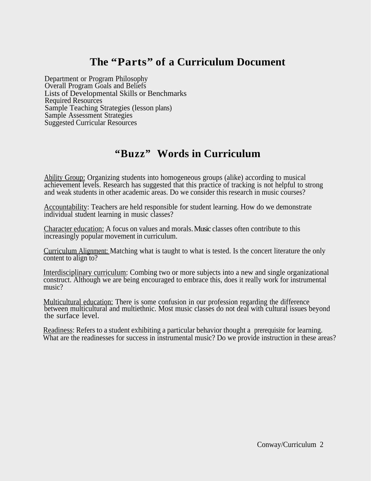# **The "Parts" of a Curriculum Document**

Department or Program Philosophy Overall Program Goals and Beliefs Lists of Developmental Skills or Benchmarks Required Resources Sample Teaching Strategies (lesson plans) Sample Assessment Strategies Suggested Curricular Resources

# **"Buzz" Words in Curriculum**

Ability Group: Organizing students into homogeneous groups (alike) according to musical achievement levels. Research has suggested that this practice of tracking is not helpful to strong and weak students in other academic areas. Do we consider this research in music courses?

Accountability: Teachers are held responsible for student learning. How do we demonstrate <sup>~</sup> individual student learning in music classes?

Character education: A focus on values and morals.Music classes often contribute to this increasingly popular movement in curriculum.

Curriculum Alignment: Matching what is taught to what is tested. Is the concert literature the only content to align to?

Interdisciplinary curriculum: Combing two or more subjects into a new and single organizational construct. Although we are being encouraged to embrace this, does it really work for instrumental music?

Multicultural education: There is some confusion in our profession regarding the difference between multicultural and multiethnic. Most music classes do not deal with cultural issues beyond the surface level.

Readiness: Refers to a student exhibiting a particular behavior thought a prerequisite for learning. What are the readinesses for success in instrumental music? Do we provide instruction in these areas?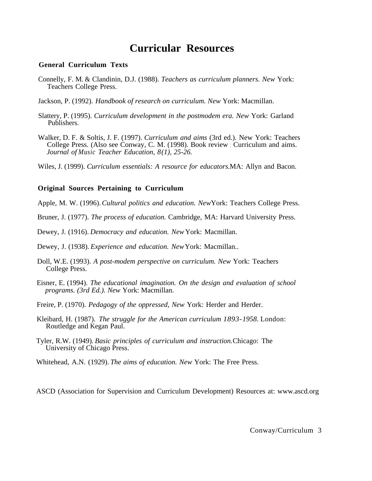### **Curricular Resources**

#### **General Curriculum Texts**

- Connelly, F. M. & Clandinin, D.J. (1988). *Teachers as curriculum planners. New* York: Teachers College Press.
- Jackson, P. (1992). *Handbook of research on curriculum. New* York: Macmillan.
- Slattery, P. (1995). *Curriculum development in the postmodem era. New* York: Garland Publishers.
- Walker, D. F. & Soltis, J. F. (1997). *Curriculum and aims* (3rd ed.). New York: Teachers College Press. (Also see Conway, C. M. (1998). Book review : Curriculum and aims. *Journal of Music Teacher Education, 8(1), 25-26.*
- Wiles, J. (1999). *Curriculum essentials: A resource for educators.* MA: Allyn and Bacon.

### **Original Sources Pertaining to Curriculum**

Apple, M. W. (1996). *Cultural politics and education. New* York: Teachers College Press.

- Bruner, J. (1977). *The process of education.* Cambridge, MA: Harvard University Press.
- Dewey, J. (1916). *Democracy and education. New* York: Macmillan.
- Dewey, J. (1938). *Experience and education. New* York: Macmillan..
- Doll, W.E. (1993). *A post-modem perspective on curriculum. New* York: Teachers College Press.
- Eisner, E. (1994). *The educational imagination. On the design and evaluation of school programs. (3rd Ed.). New* York: Macmillan.
- Freire, P. (1970). *Pedagogy of the oppressed, New* York: Herder and Herder.
- Kleibard, H. (1987). *The struggle for the American curriculum 1893-1958.* London: Routledge and Kegan Paul.
- Tyler, R.W. (1949). *Basic principles of curriculum and instruction.* Chicago: The University of Chicago Press.
- Whitehead, A.N. (1929). *The aims of education. New* York: The Free Press.

ASCD (Association for Supervision and Curriculum Development) Resources at: www.ascd.org

Conway/Curriculum 3